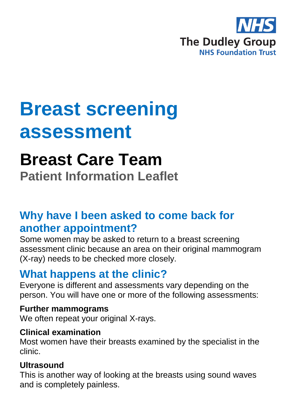

# **Breast screening assessment**

# **Breast Care Team**

**Patient Information Leaflet**

# **Why have I been asked to come back for another appointment?**

Some women may be asked to return to a breast screening assessment clinic because an area on their original mammogram (X-ray) needs to be checked more closely.

## **What happens at the clinic?**

Everyone is different and assessments vary depending on the person. You will have one or more of the following assessments:

### **Further mammograms**

We often repeat your original X-rays.

#### **Clinical examination**

Most women have their breasts examined by the specialist in the clinic.

### **Ultrasound**

This is another way of looking at the breasts using sound waves and is completely painless.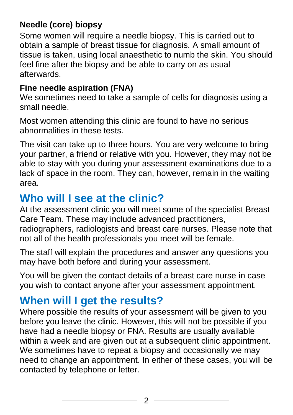## **Needle (core) biopsy**

Some women will require a needle biopsy. This is carried out to obtain a sample of breast tissue for diagnosis. A small amount of tissue is taken, using local anaesthetic to numb the skin. You should feel fine after the biopsy and be able to carry on as usual afterwards.

### **Fine needle aspiration (FNA)**

We sometimes need to take a sample of cells for diagnosis using a small needle.

Most women attending this clinic are found to have no serious abnormalities in these tests.

The visit can take up to three hours. You are very welcome to bring your partner, a friend or relative with you. However, they may not be able to stay with you during your assessment examinations due to a lack of space in the room. They can, however, remain in the waiting area.

## **Who will I see at the clinic?**

At the assessment clinic you will meet some of the specialist Breast Care Team. These may include advanced practitioners, radiographers, radiologists and breast care nurses. Please note that not all of the health professionals you meet will be female.

The staff will explain the procedures and answer any questions you may have both before and during your assessment.

You will be given the contact details of a breast care nurse in case you wish to contact anyone after your assessment appointment.

# **When will I get the results?**

Where possible the results of your assessment will be given to you before you leave the clinic. However, this will not be possible if you have had a needle biopsy or FNA. Results are usually available within a week and are given out at a subsequent clinic appointment. We sometimes have to repeat a biopsy and occasionally we may need to change an appointment. In either of these cases, you will be contacted by telephone or letter.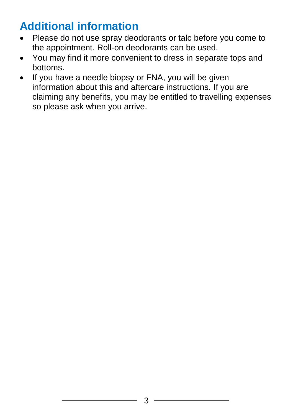# **Additional information**

- Please do not use spray deodorants or talc before you come to the appointment. Roll-on deodorants can be used.
- You may find it more convenient to dress in separate tops and bottoms.
- If you have a needle biopsy or FNA, you will be given information about this and aftercare instructions. If you are claiming any benefits, you may be entitled to travelling expenses so please ask when you arrive.